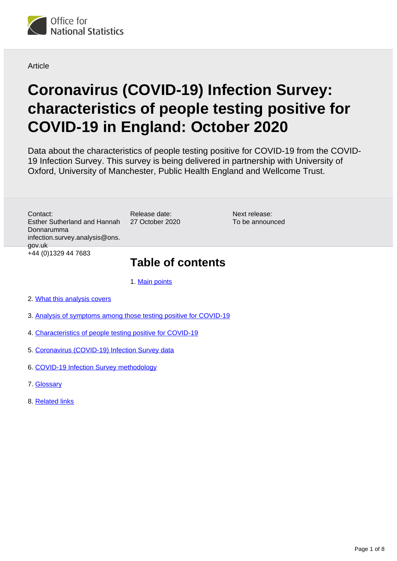

Article

# **Coronavirus (COVID-19) Infection Survey: characteristics of people testing positive for COVID-19 in England: October 2020**

Data about the characteristics of people testing positive for COVID-19 from the COVID-19 Infection Survey. This survey is being delivered in partnership with University of Oxford, University of Manchester, Public Health England and Wellcome Trust.

> Next release: To be announced

Contact: Esther Sutherland and Hannah Donnarumma infection.survey.analysis@ons. gov.uk +44 (0)1329 44 7683

# **Table of contents**

1. [Main points](#page-1-0)

Release date: 27 October 2020

- 2. [What this analysis covers](#page-1-1)
- 3. [Analysis of symptoms among those testing positive for COVID-19](#page-1-2)
- 4. [Characteristics of people testing positive for COVID-19](#page-3-0)
- 5. [Coronavirus \(COVID-19\) Infection Survey data](#page-5-0)
- 6. [COVID-19 Infection Survey methodology](#page-5-1)
- 7. [Glossary](#page-6-0)
- 8. [Related links](#page-7-0)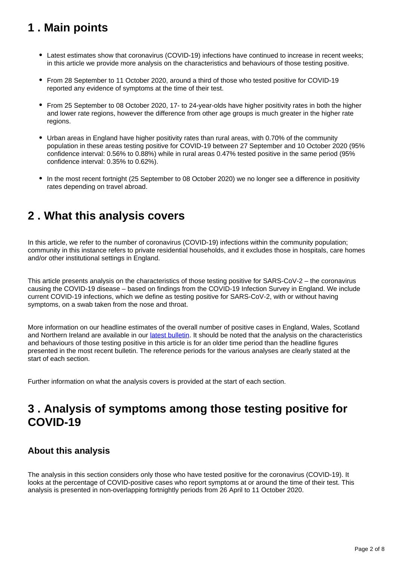# <span id="page-1-0"></span>**1 . Main points**

- Latest estimates show that coronavirus (COVID-19) infections have continued to increase in recent weeks; in this article we provide more analysis on the characteristics and behaviours of those testing positive.
- From 28 September to 11 October 2020, around a third of those who tested positive for COVID-19 reported any evidence of symptoms at the time of their test.
- From 25 September to 08 October 2020, 17- to 24-year-olds have higher positivity rates in both the higher and lower rate regions, however the difference from other age groups is much greater in the higher rate regions.
- Urban areas in England have higher positivity rates than rural areas, with 0.70% of the community population in these areas testing positive for COVID-19 between 27 September and 10 October 2020 (95% confidence interval: 0.56% to 0.88%) while in rural areas 0.47% tested positive in the same period (95% confidence interval: 0.35% to 0.62%).
- In the most recent fortnight (25 September to 08 October 2020) we no longer see a difference in positivity rates depending on travel abroad.

# <span id="page-1-1"></span>**2 . What this analysis covers**

In this article, we refer to the number of coronavirus (COVID-19) infections within the community population; community in this instance refers to private residential households, and it excludes those in hospitals, care homes and/or other institutional settings in England.

This article presents analysis on the characteristics of those testing positive for SARS-CoV-2 – the coronavirus causing the COVID-19 disease – based on findings from the COVID-19 Infection Survey in England. We include current COVID-19 infections, which we define as testing positive for SARS-CoV-2, with or without having symptoms, on a swab taken from the nose and throat.

More information on our headline estimates of the overall number of positive cases in England, Wales, Scotland and Northern Ireland are available in our [latest bulletin](https://www.ons.gov.uk/peoplepopulationandcommunity/healthandsocialcare/conditionsanddiseases/bulletins/coronaviruscovid19infectionsurveypilot/latest). It should be noted that the analysis on the characteristics and behaviours of those testing positive in this article is for an older time period than the headline figures presented in the most recent bulletin. The reference periods for the various analyses are clearly stated at the start of each section.

Further information on what the analysis covers is provided at the start of each section.

# <span id="page-1-2"></span>**3 . Analysis of symptoms among those testing positive for COVID-19**

### **About this analysis**

The analysis in this section considers only those who have tested positive for the coronavirus (COVID-19). It looks at the percentage of COVID-positive cases who report symptoms at or around the time of their test. This analysis is presented in non-overlapping fortnightly periods from 26 April to 11 October 2020.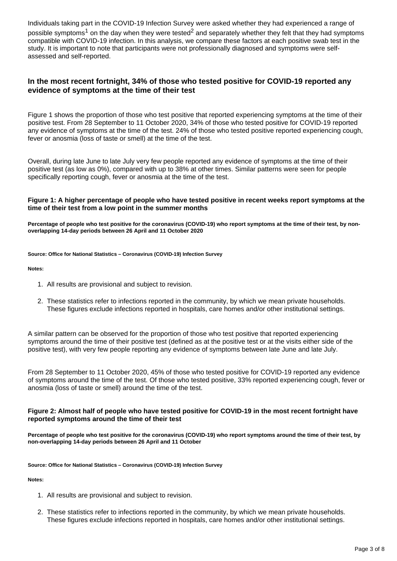Individuals taking part in the COVID-19 Infection Survey were asked whether they had experienced a range of possible symptoms<sup>1</sup> on the day when they were tested<sup>2</sup> and separately whether they felt that they had symptoms compatible with COVID-19 infection. In this analysis, we compare these factors at each positive swab test in the study. It is important to note that participants were not professionally diagnosed and symptoms were selfassessed and self-reported.

#### **In the most recent fortnight, 34% of those who tested positive for COVID-19 reported any evidence of symptoms at the time of their test**

Figure 1 shows the proportion of those who test positive that reported experiencing symptoms at the time of their positive test. From 28 September to 11 October 2020, 34% of those who tested positive for COVID-19 reported any evidence of symptoms at the time of the test. 24% of those who tested positive reported experiencing cough, fever or anosmia (loss of taste or smell) at the time of the test.

Overall, during late June to late July very few people reported any evidence of symptoms at the time of their positive test (as low as 0%), compared with up to 38% at other times. Similar patterns were seen for people specifically reporting cough, fever or anosmia at the time of the test.

#### **Figure 1: A higher percentage of people who have tested positive in recent weeks report symptoms at the time of their test from a low point in the summer months**

**Percentage of people who test positive for the coronavirus (COVID-19) who report symptoms at the time of their test, by nonoverlapping 14-day periods between 26 April and 11 October 2020**

**Source: Office for National Statistics – Coronavirus (COVID-19) Infection Survey**

**Notes:**

- 1. All results are provisional and subject to revision.
- 2. These statistics refer to infections reported in the community, by which we mean private households. These figures exclude infections reported in hospitals, care homes and/or other institutional settings.

A similar pattern can be observed for the proportion of those who test positive that reported experiencing symptoms around the time of their positive test (defined as at the positive test or at the visits either side of the positive test), with very few people reporting any evidence of symptoms between late June and late July.

From 28 September to 11 October 2020, 45% of those who tested positive for COVID-19 reported any evidence of symptoms around the time of the test. Of those who tested positive, 33% reported experiencing cough, fever or anosmia (loss of taste or smell) around the time of the test.

#### **Figure 2: Almost half of people who have tested positive for COVID-19 in the most recent fortnight have reported symptoms around the time of their test**

**Percentage of people who test positive for the coronavirus (COVID-19) who report symptoms around the time of their test, by non-overlapping 14-day periods between 26 April and 11 October**

**Source: Office for National Statistics – Coronavirus (COVID-19) Infection Survey**

**Notes:**

- 1. All results are provisional and subject to revision.
- 2. These statistics refer to infections reported in the community, by which we mean private households. These figures exclude infections reported in hospitals, care homes and/or other institutional settings.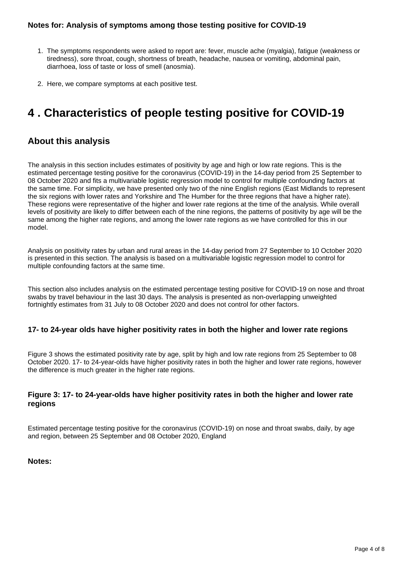#### **Notes for: Analysis of symptoms among those testing positive for COVID-19**

- 1. The symptoms respondents were asked to report are: fever, muscle ache (myalgia), fatigue (weakness or tiredness), sore throat, cough, shortness of breath, headache, nausea or vomiting, abdominal pain, diarrhoea, loss of taste or loss of smell (anosmia).
- 2. Here, we compare symptoms at each positive test.

# <span id="page-3-0"></span>**4 . Characteristics of people testing positive for COVID-19**

### **About this analysis**

The analysis in this section includes estimates of positivity by age and high or low rate regions. This is the estimated percentage testing positive for the coronavirus (COVID-19) in the 14-day period from 25 September to 08 October 2020 and fits a multivariable logistic regression model to control for multiple confounding factors at the same time. For simplicity, we have presented only two of the nine English regions (East Midlands to represent the six regions with lower rates and Yorkshire and The Humber for the three regions that have a higher rate). These regions were representative of the higher and lower rate regions at the time of the analysis. While overall levels of positivity are likely to differ between each of the nine regions, the patterns of positivity by age will be the same among the higher rate regions, and among the lower rate regions as we have controlled for this in our model.

Analysis on positivity rates by urban and rural areas in the 14-day period from 27 September to 10 October 2020 is presented in this section. The analysis is based on a multivariable logistic regression model to control for multiple confounding factors at the same time.

This section also includes analysis on the estimated percentage testing positive for COVID-19 on nose and throat swabs by travel behaviour in the last 30 days. The analysis is presented as non-overlapping unweighted fortnightly estimates from 31 July to 08 October 2020 and does not control for other factors.

#### **17- to 24-year olds have higher positivity rates in both the higher and lower rate regions**

Figure 3 shows the estimated positivity rate by age, split by high and low rate regions from 25 September to 08 October 2020. 17- to 24-year-olds have higher positivity rates in both the higher and lower rate regions, however the difference is much greater in the higher rate regions.

### **Figure 3: 17- to 24-year-olds have higher positivity rates in both the higher and lower rate regions**

Estimated percentage testing positive for the coronavirus (COVID-19) on nose and throat swabs, daily, by age and region, between 25 September and 08 October 2020, England

#### **Notes:**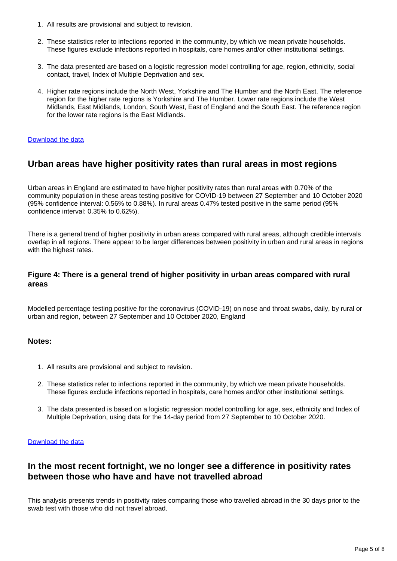- 1. All results are provisional and subject to revision.
- 2. These statistics refer to infections reported in the community, by which we mean private households. These figures exclude infections reported in hospitals, care homes and/or other institutional settings.
- 3. The data presented are based on a logistic regression model controlling for age, region, ethnicity, social contact, travel, Index of Multiple Deprivation and sex.
- 4. Higher rate regions include the North West, Yorkshire and The Humber and the North East. The reference region for the higher rate regions is Yorkshire and The Humber. Lower rate regions include the West Midlands, East Midlands, London, South West, East of England and the South East. The reference region for the lower rate regions is the East Midlands.

#### [Download the data](https://www.ons.gov.uk/visualisations/dvc1029/fig3/datadownload.xlsx)

### **Urban areas have higher positivity rates than rural areas in most regions**

Urban areas in England are estimated to have higher positivity rates than rural areas with 0.70% of the community population in these areas testing positive for COVID-19 between 27 September and 10 October 2020 (95% confidence interval: 0.56% to 0.88%). In rural areas 0.47% tested positive in the same period (95% confidence interval: 0.35% to 0.62%).

There is a general trend of higher positivity in urban areas compared with rural areas, although credible intervals overlap in all regions. There appear to be larger differences between positivity in urban and rural areas in regions with the highest rates.

#### **Figure 4: There is a general trend of higher positivity in urban areas compared with rural areas**

Modelled percentage testing positive for the coronavirus (COVID-19) on nose and throat swabs, daily, by rural or urban and region, between 27 September and 10 October 2020, England

#### **Notes:**

- 1. All results are provisional and subject to revision.
- 2. These statistics refer to infections reported in the community, by which we mean private households. These figures exclude infections reported in hospitals, care homes and/or other institutional settings.
- 3. The data presented is based on a logistic regression model controlling for age, sex, ethnicity and Index of Multiple Deprivation, using data for the 14-day period from 27 September to 10 October 2020.

#### [Download the data](https://www.ons.gov.uk/visualisations/dvc1029/fig4/datadownload.xlsx)

### **In the most recent fortnight, we no longer see a difference in positivity rates between those who have and have not travelled abroad**

This analysis presents trends in positivity rates comparing those who travelled abroad in the 30 days prior to the swab test with those who did not travel abroad.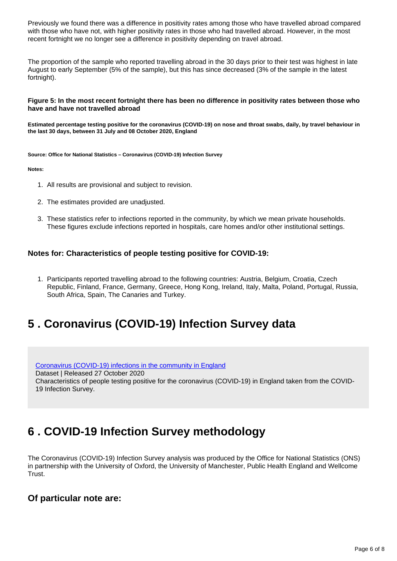Previously we found there was a difference in positivity rates among those who have travelled abroad compared with those who have not, with higher positivity rates in those who had travelled abroad. However, in the most recent fortnight we no longer see a difference in positivity depending on travel abroad.

The proportion of the sample who reported travelling abroad in the 30 days prior to their test was highest in late August to early September (5% of the sample), but this has since decreased (3% of the sample in the latest fortnight).

#### **Figure 5: In the most recent fortnight there has been no difference in positivity rates between those who have and have not travelled abroad**

**Estimated percentage testing positive for the coronavirus (COVID-19) on nose and throat swabs, daily, by travel behaviour in the last 30 days, between 31 July and 08 October 2020, England**

**Source: Office for National Statistics – Coronavirus (COVID-19) Infection Survey**

**Notes:**

- 1. All results are provisional and subject to revision.
- 2. The estimates provided are unadjusted.
- 3. These statistics refer to infections reported in the community, by which we mean private households. These figures exclude infections reported in hospitals, care homes and/or other institutional settings.

#### **Notes for: Characteristics of people testing positive for COVID-19:**

1. Participants reported travelling abroad to the following countries: Austria, Belgium, Croatia, Czech Republic, Finland, France, Germany, Greece, Hong Kong, Ireland, Italy, Malta, Poland, Portugal, Russia, South Africa, Spain, The Canaries and Turkey.

# <span id="page-5-0"></span>**5 . Coronavirus (COVID-19) Infection Survey data**

[Coronavirus \(COVID-19\) infections in the community in England](https://www.ons.gov.uk/peoplepopulationandcommunity/healthandsocialcare/conditionsanddiseases/datasets/coronaviruscovid19infectionsinthecommunityinengland) Dataset | Released 27 October 2020 Characteristics of people testing positive for the coronavirus (COVID-19) in England taken from the COVID-19 Infection Survey.

# <span id="page-5-1"></span>**6 . COVID-19 Infection Survey methodology**

The Coronavirus (COVID-19) Infection Survey analysis was produced by the Office for National Statistics (ONS) in partnership with the University of Oxford, the University of Manchester, Public Health England and Wellcome Trust.

### **Of particular note are:**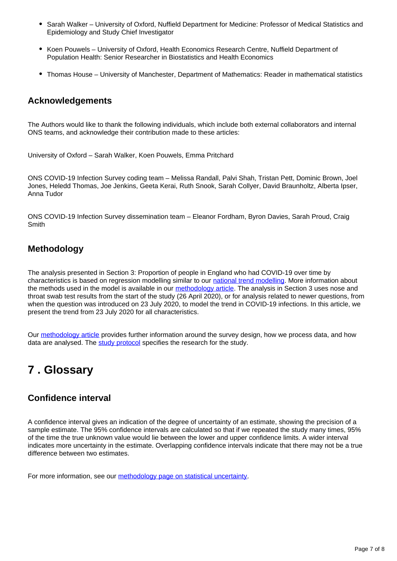- Sarah Walker University of Oxford, Nuffield Department for Medicine: Professor of Medical Statistics and Epidemiology and Study Chief Investigator
- Koen Pouwels University of Oxford, Health Economics Research Centre, Nuffield Department of Population Health: Senior Researcher in Biostatistics and Health Economics
- Thomas House University of Manchester, Department of Mathematics: Reader in mathematical statistics

### **Acknowledgements**

The Authors would like to thank the following individuals, which include both external collaborators and internal ONS teams, and acknowledge their contribution made to these articles:

University of Oxford – Sarah Walker, Koen Pouwels, Emma Pritchard

ONS COVID-19 Infection Survey coding team – Melissa Randall, Palvi Shah, Tristan Pett, Dominic Brown, Joel Jones, Heledd Thomas, Joe Jenkins, Geeta Kerai, Ruth Snook, Sarah Collyer, David Braunholtz, Alberta Ipser, Anna Tudor

ONS COVID-19 Infection Survey dissemination team – Eleanor Fordham, Byron Davies, Sarah Proud, Craig **Smith** 

### **Methodology**

The analysis presented in Section 3: Proportion of people in England who had COVID-19 over time by characteristics is based on regression modelling similar to our [national trend modelling.](https://www.ons.gov.uk/peoplepopulationandcommunity/healthandsocialcare/conditionsanddiseases/bulletins/coronaviruscovid19infectionsurveypilot/latest) More information about the methods used in the model is available in our [methodology article.](https://www.ons.gov.uk/peoplepopulationandcommunity/healthandsocialcare/conditionsanddiseases/methodologies/covid19infectionsurveypilotmethodsandfurtherinformation) The analysis in Section 3 uses nose and throat swab test results from the start of the study (26 April 2020), or for analysis related to newer questions, from when the question was introduced on 23 July 2020, to model the trend in COVID-19 infections. In this article, we present the trend from 23 July 2020 for all characteristics.

Our [methodology article](https://www.ons.gov.uk/peoplepopulationandcommunity/healthandsocialcare/conditionsanddiseases/methodologies/covid19infectionsurveypilotmethodsandfurtherinformation) provides further information around the survey design, how we process data, and how data are analysed. The [study protocol](https://www.ndm.ox.ac.uk/covid-19/covid-19-infection-survey/protocol-and-information-sheets) specifies the research for the study.

# <span id="page-6-0"></span>**7 . Glossary**

### **Confidence interval**

A confidence interval gives an indication of the degree of uncertainty of an estimate, showing the precision of a sample estimate. The 95% confidence intervals are calculated so that if we repeated the study many times, 95% of the time the true unknown value would lie between the lower and upper confidence limits. A wider interval indicates more uncertainty in the estimate. Overlapping confidence intervals indicate that there may not be a true difference between two estimates.

For more information, see our [methodology page on statistical uncertainty.](https://www.ons.gov.uk/methodology/methodologytopicsandstatisticalconcepts/uncertaintyandhowwemeasureit)